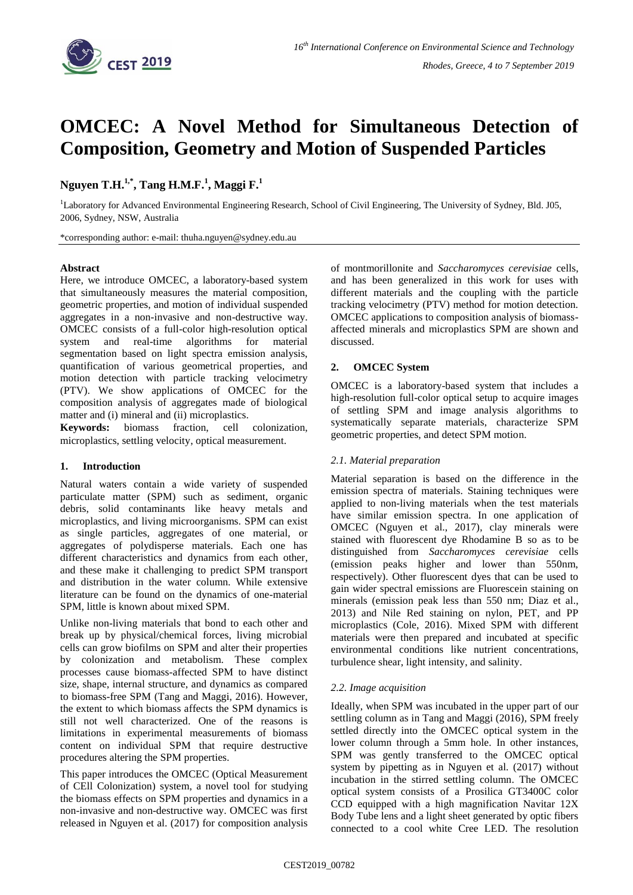

# **OMCEC: A Novel Method for Simultaneous Detection of Composition, Geometry and Motion of Suspended Particles**

**Nguyen T.H.1,\* , Tang H.M.F.<sup>1</sup> , Maggi F. 1**

<sup>1</sup>Laboratory for Advanced Environmental Engineering Research, School of Civil Engineering, The University of Sydney, Bld. J05, 2006, Sydney, NSW, Australia

\*corresponding author: e-mail: thuha.nguyen@sydney.edu.au

#### **Abstract**

Here, we introduce OMCEC, a laboratory-based system that simultaneously measures the material composition, geometric properties, and motion of individual suspended aggregates in a non-invasive and non-destructive way. OMCEC consists of a full-color high-resolution optical system and real-time algorithms for material segmentation based on light spectra emission analysis, quantification of various geometrical properties, and motion detection with particle tracking velocimetry (PTV). We show applications of OMCEC for the composition analysis of aggregates made of biological matter and (i) mineral and (ii) microplastics.

**Keywords:** biomass fraction, cell colonization, microplastics, settling velocity, optical measurement.

## **1. Introduction**

Natural waters contain a wide variety of suspended particulate matter (SPM) such as sediment, organic debris, solid contaminants like heavy metals and microplastics, and living microorganisms. SPM can exist as single particles, aggregates of one material, or aggregates of polydisperse materials. Each one has different characteristics and dynamics from each other, and these make it challenging to predict SPM transport and distribution in the water column. While extensive literature can be found on the dynamics of one-material SPM, little is known about mixed SPM.

Unlike non-living materials that bond to each other and break up by physical/chemical forces, living microbial cells can grow biofilms on SPM and alter their properties by colonization and metabolism. These complex processes cause biomass-affected SPM to have distinct size, shape, internal structure, and dynamics as compared to biomass-free SPM (Tang and Maggi, 2016). However, the extent to which biomass affects the SPM dynamics is still not well characterized. One of the reasons is limitations in experimental measurements of biomass content on individual SPM that require destructive procedures altering the SPM properties.

This paper introduces the OMCEC (Optical Measurement of CEll Colonization) system, a novel tool for studying the biomass effects on SPM properties and dynamics in a non-invasive and non-destructive way. OMCEC was first released in Nguyen et al. (2017) for composition analysis of montmorillonite and *[Saccharomyces cerevisiae](https://en.wikipedia.org/wiki/Saccharomyces_cerevisiae)* cells, and has been generalized in this work for uses with different materials and the coupling with the particle tracking velocimetry (PTV) method for motion detection. OMCEC applications to composition analysis of biomassaffected minerals and microplastics SPM are shown and discussed.

#### **2. OMCEC System**

OMCEC is a laboratory-based system that includes a high-resolution full-color optical setup to acquire images of settling SPM and image analysis algorithms to systematically separate materials, characterize SPM geometric properties, and detect SPM motion.

## *2.1. Material preparation*

Material separation is based on the difference in the emission spectra of materials. Staining techniques were applied to non-living materials when the test materials have similar emission spectra. In one application of OMCEC (Nguyen et al., 2017), clay minerals were stained with fluorescent dye Rhodamine B so as to be distinguished from *[Saccharomyces cerevisiae](https://en.wikipedia.org/wiki/Saccharomyces_cerevisiae)* cells (emission peaks higher and lower than 550nm, respectively). Other fluorescent dyes that can be used to gain wider spectral emissions are Fluorescein staining on minerals (emission peak less than 550 nm; Diaz et al., 2013) and Nile Red staining on nylon, PET, and PP microplastics (Cole, 2016). Mixed SPM with different materials were then prepared and incubated at specific environmental conditions like nutrient concentrations, turbulence shear, light intensity, and salinity.

## *2.2. Image acquisition*

Ideally, when SPM was incubated in the upper part of our settling column as in Tang and Maggi (2016), SPM freely settled directly into the OMCEC optical system in the lower column through a 5mm hole. In other instances, SPM was gently transferred to the OMCEC optical system by pipetting as in Nguyen et al. (2017) without incubation in the stirred settling column. The OMCEC optical system consists of a Prosilica GT3400C color CCD equipped with a high magnification Navitar 12X Body Tube lens and a light sheet generated by optic fibers connected to a cool white Cree LED. The resolution